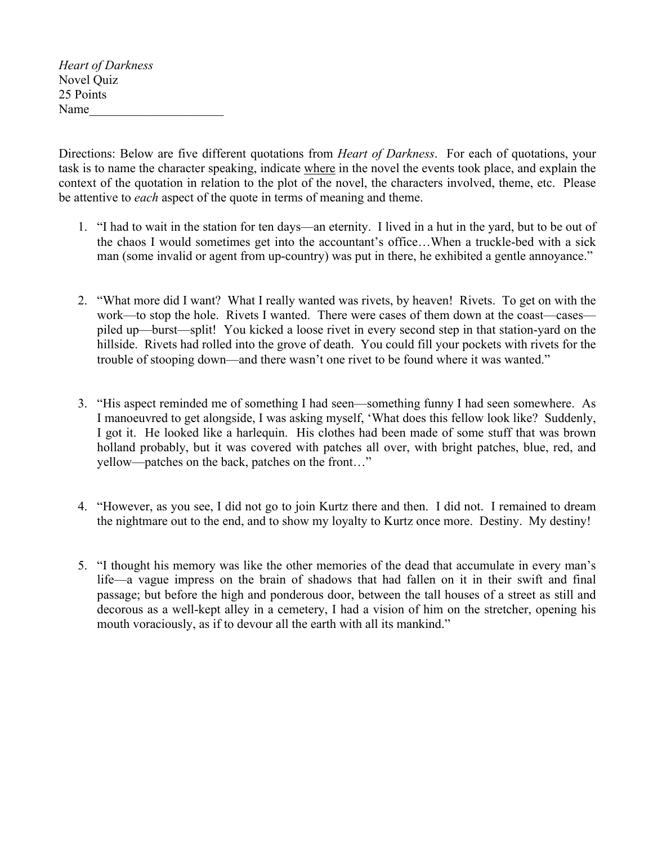*Heart of Darkness* Novel Quiz 25 Points Name

Directions: Below are five different quotations from *Heart of Darkness*. For each of quotations, your task is to name the character speaking, indicate where in the novel the events took place, and explain the context of the quotation in relation to the plot of the novel, the characters involved, theme, etc. Please be attentive to *each* aspect of the quote in terms of meaning and theme.

- 1. "I had to wait in the station for ten days—an eternity. I lived in a hut in the yard, but to be out of the chaos I would sometimes get into the accountant's office…When a truckle-bed with a sick man (some invalid or agent from up-country) was put in there, he exhibited a gentle annoyance."
- 2. "What more did I want? What I really wanted was rivets, by heaven! Rivets. To get on with the work—to stop the hole. Rivets I wanted. There were cases of them down at the coast—cases piled up—burst—split! You kicked a loose rivet in every second step in that station-yard on the hillside. Rivets had rolled into the grove of death. You could fill your pockets with rivets for the trouble of stooping down—and there wasn't one rivet to be found where it was wanted."
- 3. "His aspect reminded me of something I had seen—something funny I had seen somewhere. As I manoeuvred to get alongside, I was asking myself, 'What does this fellow look like? Suddenly, I got it. He looked like a harlequin. His clothes had been made of some stuff that was brown holland probably, but it was covered with patches all over, with bright patches, blue, red, and yellow—patches on the back, patches on the front…"
- 4. "However, as you see, I did not go to join Kurtz there and then. I did not. I remained to dream the nightmare out to the end, and to show my loyalty to Kurtz once more. Destiny. My destiny!
- 5. "I thought his memory was like the other memories of the dead that accumulate in every man's life—a vague impress on the brain of shadows that had fallen on it in their swift and final passage; but before the high and ponderous door, between the tall houses of a street as still and decorous as a well-kept alley in a cemetery, I had a vision of him on the stretcher, opening his mouth voraciously, as if to devour all the earth with all its mankind."